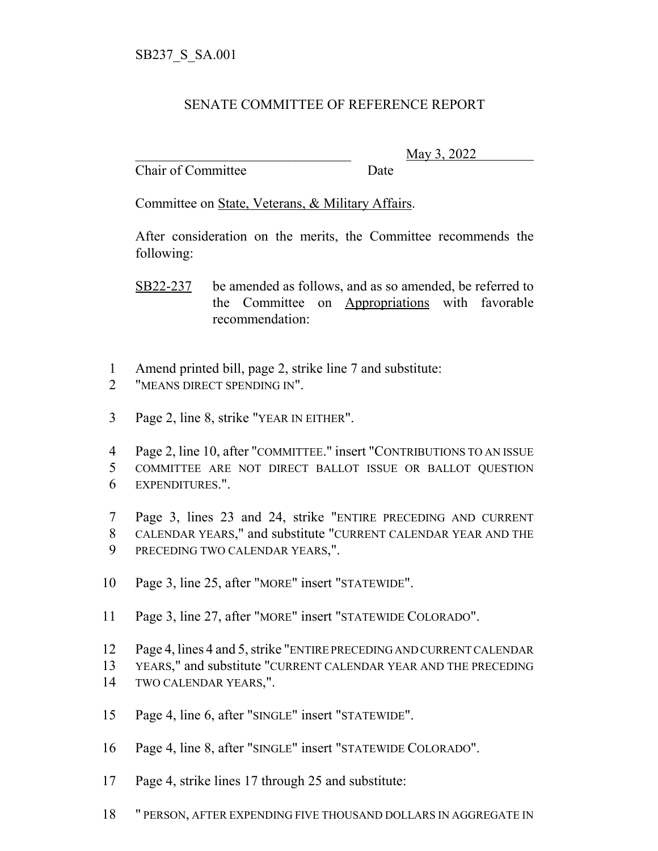## SENATE COMMITTEE OF REFERENCE REPORT

Chair of Committee Date

\_\_\_\_\_\_\_\_\_\_\_\_\_\_\_\_\_\_\_\_\_\_\_\_\_\_\_\_\_\_\_ May 3, 2022

Committee on State, Veterans, & Military Affairs.

After consideration on the merits, the Committee recommends the following:

SB22-237 be amended as follows, and as so amended, be referred to the Committee on Appropriations with favorable recommendation:

- Amend printed bill, page 2, strike line 7 and substitute:
- "MEANS DIRECT SPENDING IN".
- Page 2, line 8, strike "YEAR IN EITHER".
- Page 2, line 10, after "COMMITTEE." insert "CONTRIBUTIONS TO AN ISSUE COMMITTEE ARE NOT DIRECT BALLOT ISSUE OR BALLOT QUESTION EXPENDITURES.".
- Page 3, lines 23 and 24, strike "ENTIRE PRECEDING AND CURRENT CALENDAR YEARS," and substitute "CURRENT CALENDAR YEAR AND THE PRECEDING TWO CALENDAR YEARS,".
- Page 3, line 25, after "MORE" insert "STATEWIDE".
- Page 3, line 27, after "MORE" insert "STATEWIDE COLORADO".
- Page 4, lines 4 and 5, strike "ENTIRE PRECEDING AND CURRENT CALENDAR
- YEARS," and substitute "CURRENT CALENDAR YEAR AND THE PRECEDING
- TWO CALENDAR YEARS,".
- Page 4, line 6, after "SINGLE" insert "STATEWIDE".
- Page 4, line 8, after "SINGLE" insert "STATEWIDE COLORADO".
- Page 4, strike lines 17 through 25 and substitute:
- " PERSON, AFTER EXPENDING FIVE THOUSAND DOLLARS IN AGGREGATE IN